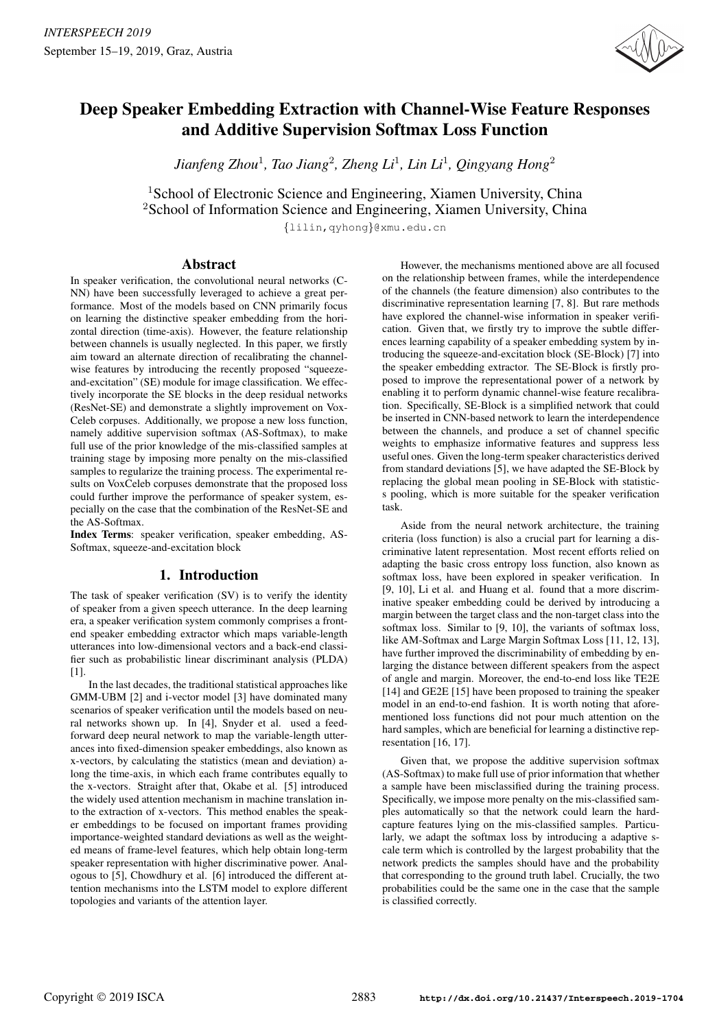

# Deep Speaker Embedding Extraction with Channel-Wise Feature Responses and Additive Supervision Softmax Loss Function

*Jianfeng Zhou*<sup>1</sup> *, Tao Jiang*<sup>2</sup> *, Zheng Li*<sup>1</sup> *, Lin Li*<sup>1</sup> *, Qingyang Hong*<sup>2</sup>

<sup>1</sup>School of Electronic Science and Engineering, Xiamen University, China <sup>2</sup>School of Information Science and Engineering, Xiamen University, China

*{*lilin,qyhong*}*@xmu.edu.cn

## Abstract

In speaker verification, the convolutional neural networks (C-NN) have been successfully leveraged to achieve a great performance. Most of the models based on CNN primarily focus on learning the distinctive speaker embedding from the horizontal direction (time-axis). However, the feature relationship between channels is usually neglected. In this paper, we firstly aim toward an alternate direction of recalibrating the channelwise features by introducing the recently proposed "squeezeand-excitation" (SE) module for image classification. We effectively incorporate the SE blocks in the deep residual networks (ResNet-SE) and demonstrate a slightly improvement on Vox-Celeb corpuses. Additionally, we propose a new loss function, namely additive supervision softmax (AS-Softmax), to make full use of the prior knowledge of the mis-classified samples at training stage by imposing more penalty on the mis-classified samples to regularize the training process. The experimental results on VoxCeleb corpuses demonstrate that the proposed loss could further improve the performance of speaker system, especially on the case that the combination of the ResNet-SE and the AS-Softmax.

Index Terms: speaker verification, speaker embedding, AS-Softmax, squeeze-and-excitation block

# 1. Introduction

The task of speaker verification (SV) is to verify the identity of speaker from a given speech utterance. In the deep learning era, a speaker verification system commonly comprises a frontend speaker embedding extractor which maps variable-length utterances into low-dimensional vectors and a back-end classifier such as probabilistic linear discriminant analysis (PLDA) [1].

In the last decades, the traditional statistical approaches like GMM-UBM [2] and i-vector model [3] have dominated many scenarios of speaker verification until the models based on neural networks shown up. In [4], Snyder et al. used a feedforward deep neural network to map the variable-length utterances into fixed-dimension speaker embeddings, also known as x-vectors, by calculating the statistics (mean and deviation) along the time-axis, in which each frame contributes equally to the x-vectors. Straight after that, Okabe et al. [5] introduced the widely used attention mechanism in machine translation into the extraction of x-vectors. This method enables the speaker embeddings to be focused on important frames providing importance-weighted standard deviations as well as the weighted means of frame-level features, which help obtain long-term speaker representation with higher discriminative power. Analogous to [5], Chowdhury et al. [6] introduced the different attention mechanisms into the LSTM model to explore different topologies and variants of the attention layer.

However, the mechanisms mentioned above are all focused on the relationship between frames, while the interdependence of the channels (the feature dimension) also contributes to the discriminative representation learning [7, 8]. But rare methods have explored the channel-wise information in speaker verification. Given that, we firstly try to improve the subtle differences learning capability of a speaker embedding system by introducing the squeeze-and-excitation block (SE-Block) [7] into the speaker embedding extractor. The SE-Block is firstly proposed to improve the representational power of a network by enabling it to perform dynamic channel-wise feature recalibration. Specifically, SE-Block is a simplified network that could be inserted in CNN-based network to learn the interdependence between the channels, and produce a set of channel specific weights to emphasize informative features and suppress less useful ones. Given the long-term speaker characteristics derived from standard deviations [5], we have adapted the SE-Block by replacing the global mean pooling in SE-Block with statistics pooling, which is more suitable for the speaker verification task.

Aside from the neural network architecture, the training criteria (loss function) is also a crucial part for learning a discriminative latent representation. Most recent efforts relied on adapting the basic cross entropy loss function, also known as softmax loss, have been explored in speaker verification. In [9, 10], Li et al. and Huang et al. found that a more discriminative speaker embedding could be derived by introducing a margin between the target class and the non-target class into the softmax loss. Similar to [9, 10], the variants of softmax loss, like AM-Softmax and Large Margin Softmax Loss [11, 12, 13], have further improved the discriminability of embedding by enlarging the distance between different speakers from the aspect of angle and margin. Moreover, the end-to-end loss like TE2E [14] and GE2E [15] have been proposed to training the speaker model in an end-to-end fashion. It is worth noting that aforementioned loss functions did not pour much attention on the hard samples, which are beneficial for learning a distinctive representation [16, 17].

Given that, we propose the additive supervision softmax (AS-Softmax) to make full use of prior information that whether a sample have been misclassified during the training process. Specifically, we impose more penalty on the mis-classified samples automatically so that the network could learn the hardcapture features lying on the mis-classified samples. Particularly, we adapt the softmax loss by introducing a adaptive scale term which is controlled by the largest probability that the network predicts the samples should have and the probability that corresponding to the ground truth label. Crucially, the two probabilities could be the same one in the case that the sample is classified correctly.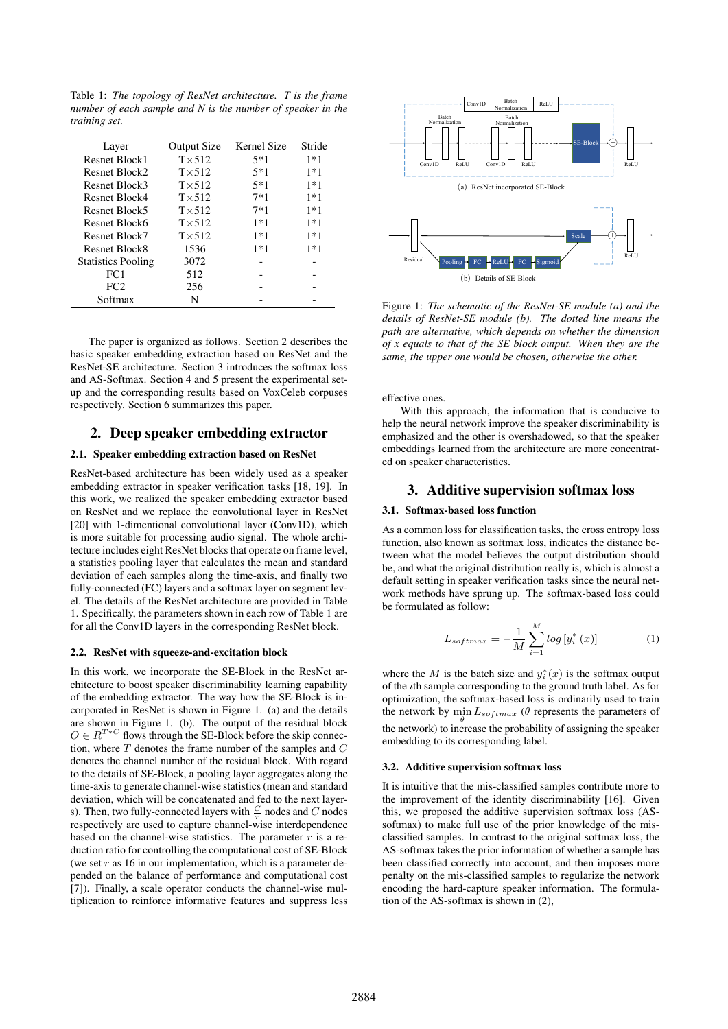Table 1: *The topology of ResNet architecture. T is the frame number of each sample and N is the number of speaker in the training set.*

| Layer                     | <b>Output Size</b> | Kernel Size | Stride |
|---------------------------|--------------------|-------------|--------|
| Resnet Block1             | $T \times 512$     | $5*1$       | $1*1$  |
| Resnet Block2             | $T \times 512$     | $5*1$       | $1*1$  |
| Resnet Block3             | $T \times 512$     | $5*1$       | $1*1$  |
| Resnet Block4             | $T \times 512$     | $7*1$       | $1*1$  |
| Resnet Block5             | $T \times 512$     | $7*1$       | $1*1$  |
| Resnet Block6             | $T \times 512$     | $1*1$       | $1*1$  |
| Resnet Block7             | $T\times 512$      | $1*1$       | $1*1$  |
| Resnet Block8             | 1536               | $1*1$       | $1*1$  |
| <b>Statistics Pooling</b> | 3072               |             |        |
| FC1                       | 512                |             |        |
| FC <sub>2</sub>           | 256                |             |        |
| Softmax                   | N                  |             |        |

The paper is organized as follows. Section 2 describes the basic speaker embedding extraction based on ResNet and the ResNet-SE architecture. Section 3 introduces the softmax loss and AS-Softmax. Section 4 and 5 present the experimental setup and the corresponding results based on VoxCeleb corpuses respectively. Section 6 summarizes this paper.

## 2. Deep speaker embedding extractor

#### 2.1. Speaker embedding extraction based on ResNet

ResNet-based architecture has been widely used as a speaker embedding extractor in speaker verification tasks [18, 19]. In this work, we realized the speaker embedding extractor based on ResNet and we replace the convolutional layer in ResNet [20] with 1-dimentional convolutional layer (Conv1D), which is more suitable for processing audio signal. The whole architecture includes eight ResNet blocks that operate on frame level, a statistics pooling layer that calculates the mean and standard deviation of each samples along the time-axis, and finally two fully-connected (FC) layers and a softmax layer on segment level. The details of the ResNet architecture are provided in Table 1. Specifically, the parameters shown in each row of Table 1 are for all the Conv1D layers in the corresponding ResNet block.

## 2.2. ResNet with squeeze-and-excitation block

In this work, we incorporate the SE-Block in the ResNet architecture to boost speaker discriminability learning capability of the embedding extractor. The way how the SE-Block is incorporated in ResNet is shown in Figure 1. (a) and the details are shown in Figure 1. (b). The output of the residual block  $O \in R^{T*C}$  flows through the SE-Block before the skip connection, where *T* denotes the frame number of the samples and *C* denotes the channel number of the residual block. With regard to the details of SE-Block, a pooling layer aggregates along the time-axis to generate channel-wise statistics (mean and standard deviation, which will be concatenated and fed to the next layers). Then, two fully-connected layers with  $\frac{C}{r}$  nodes and *C* nodes respectively are used to capture channel-wise interdependence based on the channel-wise statistics. The parameter *r* is a reduction ratio for controlling the computational cost of SE-Block (we set *r* as 16 in our implementation, which is a parameter depended on the balance of performance and computational cost [7]). Finally, a scale operator conducts the channel-wise multiplication to reinforce informative features and suppress less



Figure 1: *The schematic of the ResNet-SE module (a) and the details of ResNet-SE module (b). The dotted line means the path are alternative, which depends on whether the dimension of x equals to that of the SE block output. When they are the same, the upper one would be chosen, otherwise the other.*

effective ones.

With this approach, the information that is conducive to help the neural network improve the speaker discriminability is emphasized and the other is overshadowed, so that the speaker embeddings learned from the architecture are more concentrated on speaker characteristics.

### 3. Additive supervision softmax loss

#### 3.1. Softmax-based loss function

As a common loss for classification tasks, the cross entropy loss function, also known as softmax loss, indicates the distance between what the model believes the output distribution should be, and what the original distribution really is, which is almost a default setting in speaker verification tasks since the neural network methods have sprung up. The softmax-based loss could be formulated as follow:

$$
L_{softmax} = -\frac{1}{M} \sum_{i=1}^{M} \log \left[ y_i^* \left( x \right) \right] \tag{1}
$$

where the *M* is the batch size and  $y_i^*(x)$  is the softmax output of the *i*th sample corresponding to the ground truth label. As for optimization, the softmax-based loss is ordinarily used to train the network by  $\min L_{softmax}$  ( $\theta$  represents the parameters of *θ* the network) to increase the probability of assigning the speaker embedding to its corresponding label.

#### 3.2. Additive supervision softmax loss

It is intuitive that the mis-classified samples contribute more to the improvement of the identity discriminability [16]. Given this, we proposed the additive supervision softmax loss (ASsoftmax) to make full use of the prior knowledge of the misclassified samples. In contrast to the original softmax loss, the AS-softmax takes the prior information of whether a sample has been classified correctly into account, and then imposes more penalty on the mis-classified samples to regularize the network encoding the hard-capture speaker information. The formulation of the AS-softmax is shown in (2),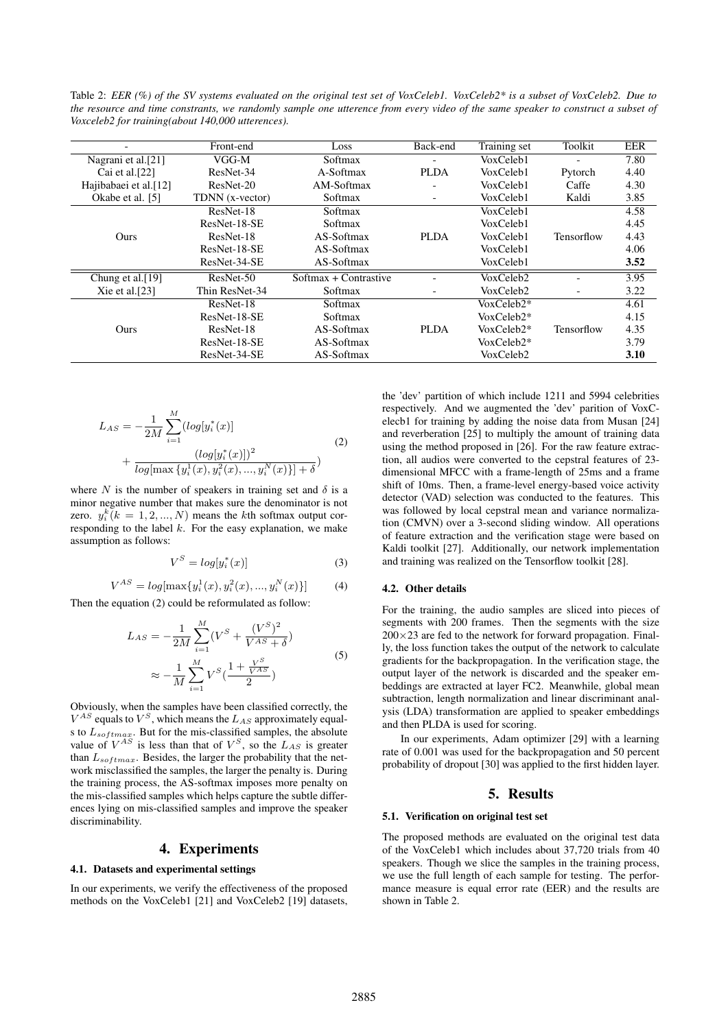Table 2: *EER (%) of the SV systems evaluated on the original test set of VoxCeleb1. VoxCeleb2\* is a subset of VoxCeleb2. Due to the resource and time constrants, we randomly sample one utterence from every video of the same speaker to construct a subset of Voxceleb2 for training(about 140,000 utterences).*

| $\overline{\phantom{0}}$ | Front-end       | Loss                  | Back-end                 | <b>Training set</b> | Toolkit    | EER  |
|--------------------------|-----------------|-----------------------|--------------------------|---------------------|------------|------|
| Nagrani et al.[21]       | VGG-M           | Softmax               |                          | VoxCeleb1           |            | 7.80 |
| Cai et al. $[22]$        | ResNet-34       | A-Softmax             | <b>PLDA</b>              | VoxCeleb1           | Pytorch    | 4.40 |
| Hajibabaei et al.[12]    | ResNet-20       | AM-Softmax            |                          | VoxCeleb1           | Caffe      | 4.30 |
| Okabe et al. [5]         | TDNN (x-vector) | Softmax               | $\overline{\phantom{a}}$ | VoxCeleb1           | Kaldi      | 3.85 |
|                          | ResNet-18       | Softmax               |                          | VoxCeleb1           |            | 4.58 |
|                          | ResNet-18-SE    | Softmax               |                          | VoxCeleb1           |            | 4.45 |
| Ours                     | ResNet-18       | AS-Softmax            | <b>PLDA</b>              | VoxCeleb1           | Tensorflow | 4.43 |
|                          | ResNet-18-SE    | AS-Softmax            |                          | VoxCeleb1           |            | 4.06 |
|                          | ResNet-34-SE    | AS-Softmax            |                          | VoxCeleb1           |            | 3.52 |
| Chung et al.[19]         | ResNet-50       | Softmax + Contrastive |                          | VoxCeleb2           |            | 3.95 |
| Xie et al. $[23]$        | Thin ResNet-34  | Softmax               | $\overline{\phantom{a}}$ | VoxCeleb2           |            | 3.22 |
|                          | ResNet-18       | Softmax               |                          | VoxCeleb2*          |            | 4.61 |
|                          | ResNet-18-SE    | Softmax               |                          | $VoxCeleb2*$        |            | 4.15 |
| Ours                     | ResNet-18       | AS-Softmax            | <b>PLDA</b>              | VoxCeleb2*          | Tensorflow | 4.35 |
|                          | ResNet-18-SE    | AS-Softmax            |                          | VoxCeleb2*          |            | 3.79 |
|                          | ResNet-34-SE    | AS-Softmax            |                          | VoxCeleb2           |            | 3.10 |

$$
L_{AS} = -\frac{1}{2M} \sum_{i=1}^{M} (log[y_i^*(x)] + \frac{(log[y_i^*(x)])^2}{log[\max\{y_i^1(x), y_i^2(x), ..., y_i^N(x)\}] + \delta})
$$
\n(2)

where *N* is the number of speakers in training set and  $\delta$  is a minor negative number that makes sure the denominator is not zero.  $y_i^k (k = 1, 2, ..., N)$  means the *k*th softmax output corresponding to the label *k*. For the easy explanation, we make assumption as follows:

$$
V^S = \log[y_i^*(x)]\tag{3}
$$

$$
V^{AS} = log[\max\{y_i^1(x), y_i^2(x), ..., y_i^N(x)\}]
$$
 (4)

Then the equation (2) could be reformulated as follow:

$$
L_{AS} = -\frac{1}{2M} \sum_{i=1}^{M} (V^S + \frac{(V^S)^2}{V^{AS} + \delta})
$$
  

$$
\approx -\frac{1}{M} \sum_{i=1}^{M} V^S (\frac{1 + \frac{V^S}{V^{AS}}}{2})
$$
 (5)

Obviously, when the samples have been classified correctly, the  $V^{AS}$  equals to  $V^S$ , which means the  $L_{AS}$  approximately equals to *Lsoftmax*. But for the mis-classified samples, the absolute value of  $V^{AS}$  is less than that of  $V^S$ , so the  $L_{AS}$  is greater than *Lsoftmax*. Besides, the larger the probability that the network misclassified the samples, the larger the penalty is. During the training process, the AS-softmax imposes more penalty on the mis-classified samples which helps capture the subtle differences lying on mis-classified samples and improve the speaker discriminability.

## 4. Experiments

#### 4.1. Datasets and experimental settings

In our experiments, we verify the effectiveness of the proposed methods on the VoxCeleb1 [21] and VoxCeleb2 [19] datasets,

the 'dev' partition of which include 1211 and 5994 celebrities respectively. And we augmented the 'dev' parition of VoxCelecb1 for training by adding the noise data from Musan [24] and reverberation [25] to multiply the amount of training data using the method proposed in [26]. For the raw feature extraction, all audios were converted to the cepstral features of 23 dimensional MFCC with a frame-length of 25ms and a frame shift of 10ms. Then, a frame-level energy-based voice activity detector (VAD) selection was conducted to the features. This was followed by local cepstral mean and variance normalization (CMVN) over a 3-second sliding window. All operations of feature extraction and the verification stage were based on Kaldi toolkit [27]. Additionally, our network implementation and training was realized on the Tensorflow toolkit [28].

#### 4.2. Other details

For the training, the audio samples are sliced into pieces of segments with 200 frames. Then the segments with the size 200*×*23 are fed to the network for forward propagation. Finally, the loss function takes the output of the network to calculate gradients for the backpropagation. In the verification stage, the output layer of the network is discarded and the speaker embeddings are extracted at layer FC2. Meanwhile, global mean subtraction, length normalization and linear discriminant analysis (LDA) transformation are applied to speaker embeddings and then PLDA is used for scoring.

In our experiments, Adam optimizer [29] with a learning rate of 0.001 was used for the backpropagation and 50 percent probability of dropout [30] was applied to the first hidden layer.

# 5. Results

#### 5.1. Verification on original test set

The proposed methods are evaluated on the original test data of the VoxCeleb1 which includes about 37,720 trials from 40 speakers. Though we slice the samples in the training process, we use the full length of each sample for testing. The performance measure is equal error rate (EER) and the results are shown in Table 2.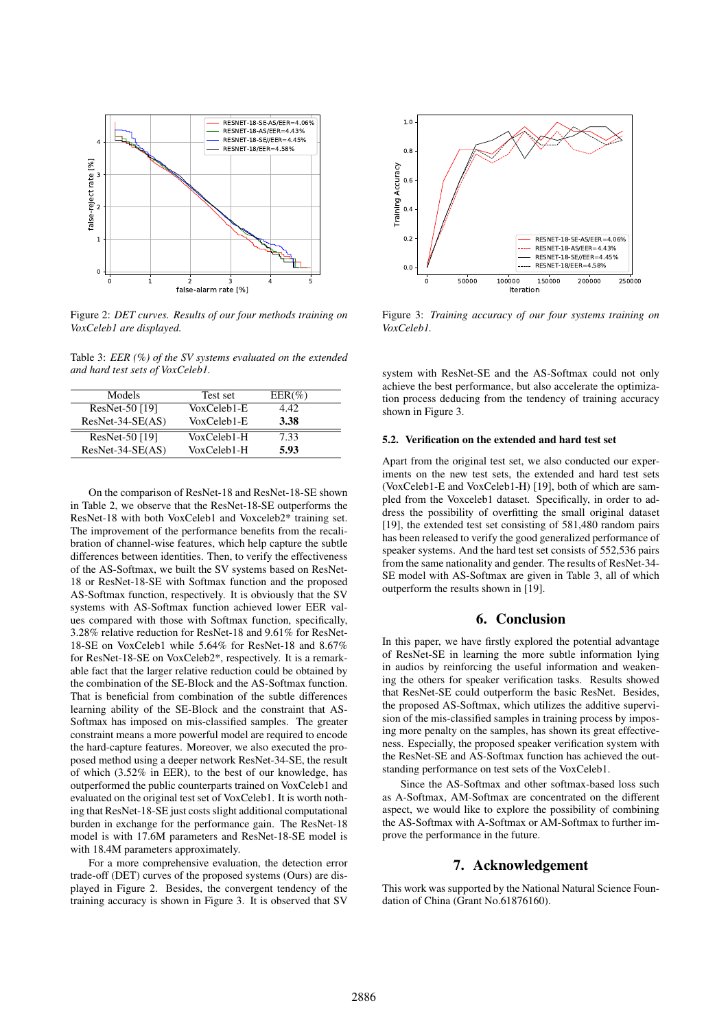

Figure 2: *DET curves. Results of our four methods training on VoxCeleb1 are displayed.*

Table 3: *EER (%) of the SV systems evaluated on the extended and hard test sets of VoxCeleb1.*

| Test set    | $EER(\%)$ |
|-------------|-----------|
| VoxCeleb1-E | 4.42      |
| VoxCeleb1-E | 3.38      |
| VoxCeleb1-H | 7.33      |
| VoxCeleb1-H | 5.93      |
|             |           |

On the comparison of ResNet-18 and ResNet-18-SE shown in Table 2, we observe that the ResNet-18-SE outperforms the ResNet-18 with both VoxCeleb1 and Voxceleb2\* training set. The improvement of the performance benefits from the recalibration of channel-wise features, which help capture the subtle differences between identities. Then, to verify the effectiveness of the AS-Softmax, we built the SV systems based on ResNet-18 or ResNet-18-SE with Softmax function and the proposed AS-Softmax function, respectively. It is obviously that the SV systems with AS-Softmax function achieved lower EER values compared with those with Softmax function, specifically, 3.28% relative reduction for ResNet-18 and 9.61% for ResNet-18-SE on VoxCeleb1 while 5.64% for ResNet-18 and 8.67% for ResNet-18-SE on VoxCeleb2\*, respectively. It is a remarkable fact that the larger relative reduction could be obtained by the combination of the SE-Block and the AS-Softmax function. That is beneficial from combination of the subtle differences learning ability of the SE-Block and the constraint that AS-Softmax has imposed on mis-classified samples. The greater constraint means a more powerful model are required to encode the hard-capture features. Moreover, we also executed the proposed method using a deeper network ResNet-34-SE, the result of which (3.52% in EER), to the best of our knowledge, has outperformed the public counterparts trained on VoxCeleb1 and evaluated on the original test set of VoxCeleb1. It is worth nothing that ResNet-18-SE just costs slight additional computational burden in exchange for the performance gain. The ResNet-18 model is with 17.6M parameters and ResNet-18-SE model is with 18.4M parameters approximately.

For a more comprehensive evaluation, the detection error trade-off (DET) curves of the proposed systems (Ours) are displayed in Figure 2. Besides, the convergent tendency of the training accuracy is shown in Figure 3. It is observed that SV



Figure 3: *Training accuracy of our four systems training on VoxCeleb1.*

system with ResNet-SE and the AS-Softmax could not only achieve the best performance, but also accelerate the optimization process deducing from the tendency of training accuracy shown in Figure 3.

## 5.2. Verification on the extended and hard test set

Apart from the original test set, we also conducted our experiments on the new test sets, the extended and hard test sets (VoxCeleb1-E and VoxCeleb1-H) [19], both of which are sampled from the Voxceleb1 dataset. Specifically, in order to address the possibility of overfitting the small original dataset [19], the extended test set consisting of 581,480 random pairs has been released to verify the good generalized performance of speaker systems. And the hard test set consists of 552,536 pairs from the same nationality and gender. The results of ResNet-34- SE model with AS-Softmax are given in Table 3, all of which outperform the results shown in [19].

# 6. Conclusion

In this paper, we have firstly explored the potential advantage of ResNet-SE in learning the more subtle information lying in audios by reinforcing the useful information and weakening the others for speaker verification tasks. Results showed that ResNet-SE could outperform the basic ResNet. Besides, the proposed AS-Softmax, which utilizes the additive supervision of the mis-classified samples in training process by imposing more penalty on the samples, has shown its great effectiveness. Especially, the proposed speaker verification system with the ResNet-SE and AS-Softmax function has achieved the outstanding performance on test sets of the VoxCeleb1.

Since the AS-Softmax and other softmax-based loss such as A-Softmax, AM-Softmax are concentrated on the different aspect, we would like to explore the possibility of combining the AS-Softmax with A-Softmax or AM-Softmax to further improve the performance in the future.

# 7. Acknowledgement

This work was supported by the National Natural Science Foundation of China (Grant No.61876160).